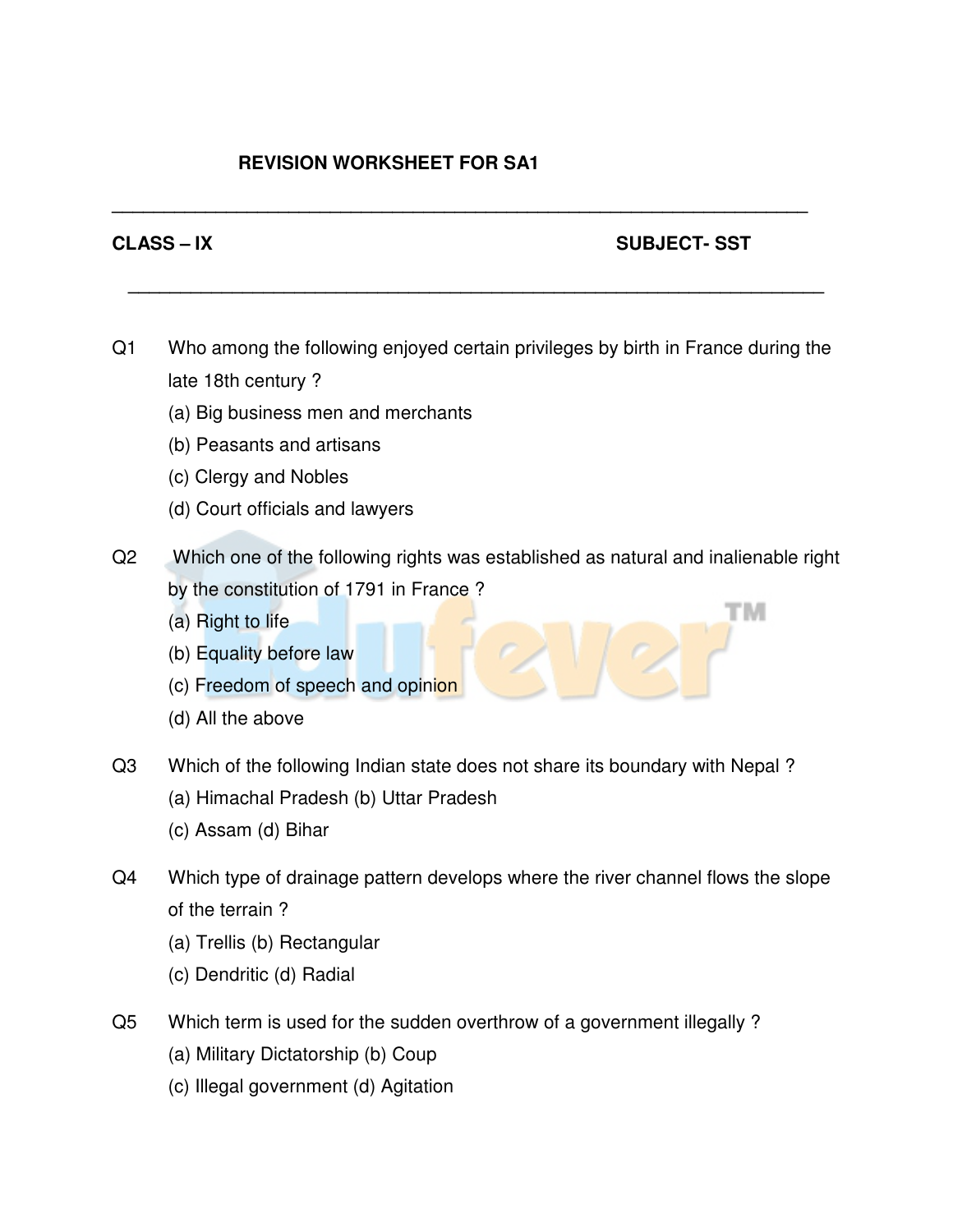## **REVISION WORKSHEET FOR SA1**

## **CLASS – IX** SUBJECT- SST

тм

Q1 Who among the following enjoyed certain privileges by birth in France during the late 18th century ?

**\_\_\_\_\_\_\_\_\_\_\_\_\_\_\_\_\_\_\_\_\_\_\_\_\_\_\_\_\_\_\_\_\_\_\_\_\_\_\_\_\_\_\_\_\_\_\_\_\_\_\_\_\_\_\_\_\_\_\_\_\_\_\_\_\_\_\_**

**\_\_\_\_\_\_\_\_\_\_\_\_\_\_\_\_\_\_\_\_\_\_\_\_\_\_\_\_\_\_\_\_\_\_\_\_\_\_\_\_\_\_\_\_\_\_\_\_\_\_\_\_\_\_\_\_\_\_\_\_\_\_\_\_\_\_\_** 

- (a) Big business men and merchants
- (b) Peasants and artisans
- (c) Clergy and Nobles
- (d) Court officials and lawyers
- Q2 Which one of the following rights was established as natural and inalienable right by the constitution of 1791 in France ?
	- (a) Right to life
	- (b) Equality before law
	- (c) Freedom of speech and opinion
	- (d) All the above
- Q3 Which of the following Indian state does not share its boundary with Nepal ?
	- (a) Himachal Pradesh (b) Uttar Pradesh
	- (c) Assam (d) Bihar
- Q4 Which type of drainage pattern develops where the river channel flows the slope of the terrain ?
	- (a) Trellis (b) Rectangular
	- (c) Dendritic (d) Radial
- Q5 Which term is used for the sudden overthrow of a government illegally ?
	- (a) Military Dictatorship (b) Coup
	- (c) Illegal government (d) Agitation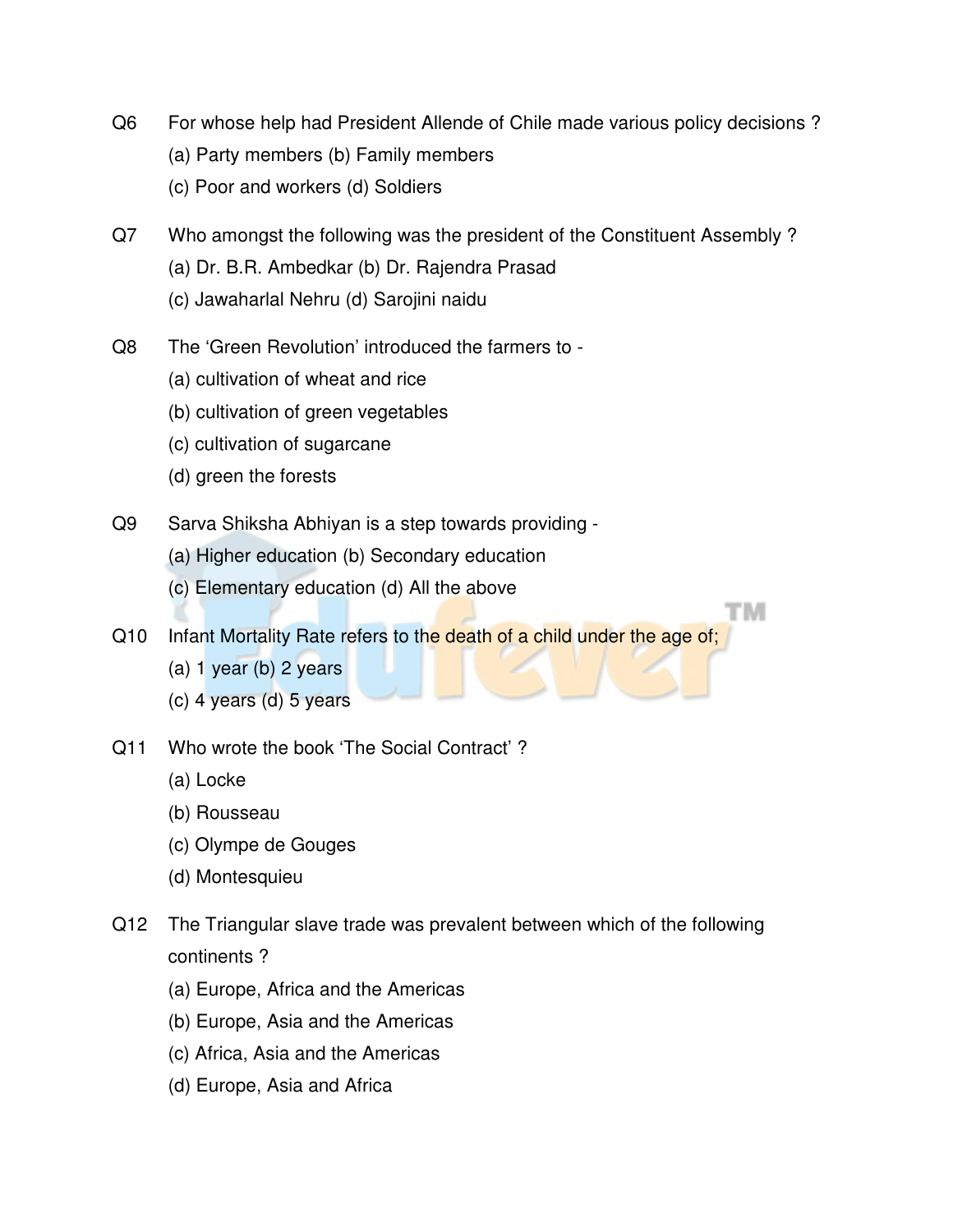- Q6 For whose help had President Allende of Chile made various policy decisions ?
	- (a) Party members (b) Family members
	- (c) Poor and workers (d) Soldiers
- Q7 Who amongst the following was the president of the Constituent Assembly ? (a) Dr. B.R. Ambedkar (b) Dr. Rajendra Prasad (c) Jawaharlal Nehru (d) Sarojini naidu
	-
- Q8 The 'Green Revolution' introduced the farmers to
	- (a) cultivation of wheat and rice
	- (b) cultivation of green vegetables
	- (c) cultivation of sugarcane
	- (d) green the forests
- Q9 Sarva Shiksha Abhiyan is a step towards providing
	- (a) Higher education (b) Secondary education
	- (c) Elementary education (d) All the above

Q10 Infant Mortality Rate refers to the death of a child under the age of;

тм

- (a) 1 year (b) 2 years
- (c) 4 years (d) 5 years
- Q11 Who wrote the book 'The Social Contract' ?
	- (a) Locke
	- (b) Rousseau
	- (c) Olympe de Gouges
	- (d) Montesquieu
- Q12 The Triangular slave trade was prevalent between which of the following continents ?
	- (a) Europe, Africa and the Americas
	- (b) Europe, Asia and the Americas
	- (c) Africa, Asia and the Americas
	- (d) Europe, Asia and Africa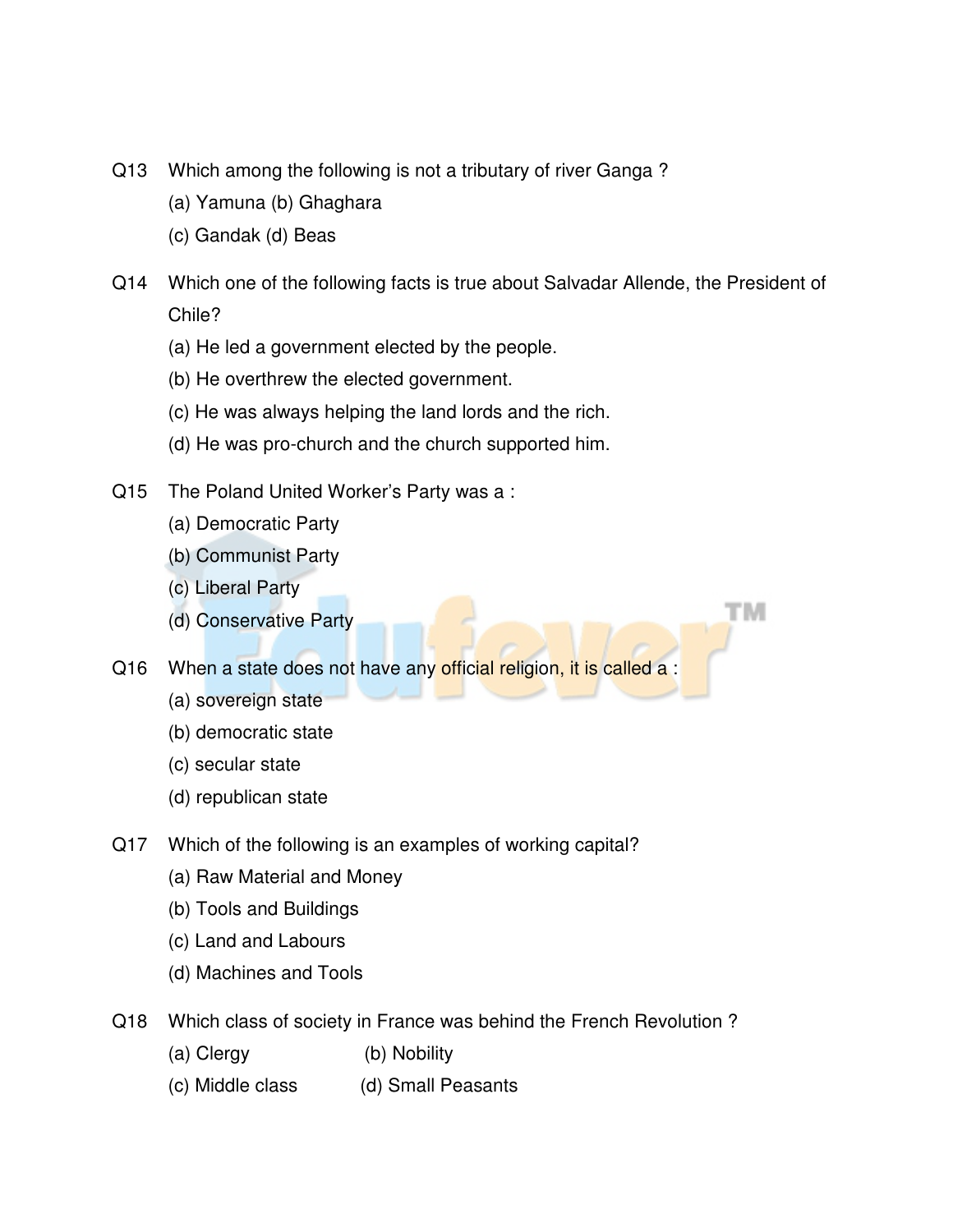- Q13 Which among the following is not a tributary of river Ganga ?
	- (a) Yamuna (b) Ghaghara
	- (c) Gandak (d) Beas
- Q14 Which one of the following facts is true about Salvadar Allende, the President of Chile?

тм

- (a) He led a government elected by the people.
- (b) He overthrew the elected government.
- (c) He was always helping the land lords and the rich.
- (d) He was pro-church and the church supported him.
- Q15 The Poland United Worker's Party was a :
	- (a) Democratic Party
	- (b) Communist Party
	- (c) Liberal Party
	- (d) Conservative Party

Q16 When a state does not have any official religion, it is called a :

- (a) sovereign state
- (b) democratic state
- (c) secular state
- (d) republican state
- Q17 Which of the following is an examples of working capital?
	- (a) Raw Material and Money
	- (b) Tools and Buildings
	- (c) Land and Labours
	- (d) Machines and Tools
- Q18 Which class of society in France was behind the French Revolution ?
	- (a) Clergy (b) Nobility
	- (c) Middle class (d) Small Peasants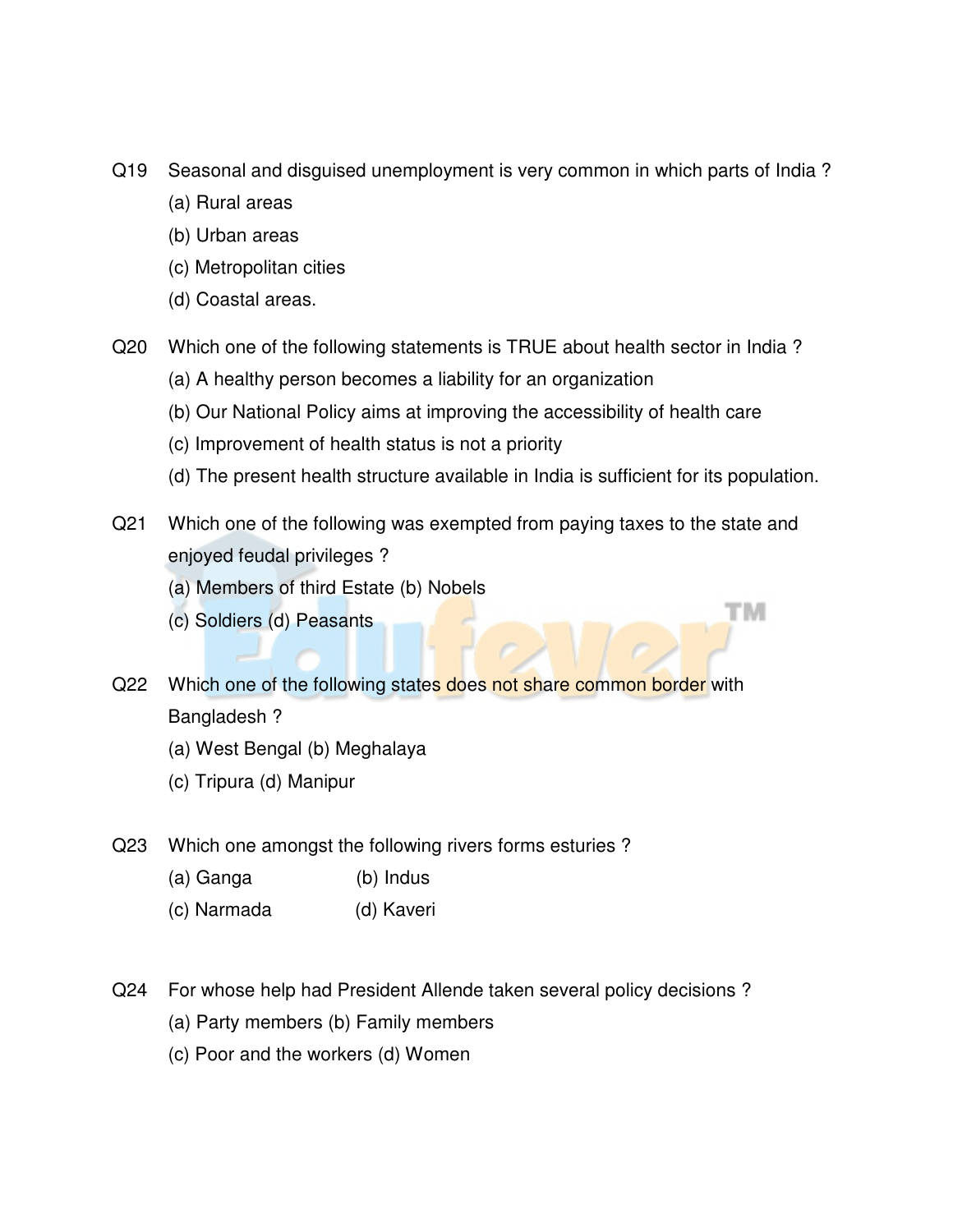- Q19 Seasonal and disguised unemployment is very common in which parts of India ?
	- (a) Rural areas
	- (b) Urban areas
	- (c) Metropolitan cities
	- (d) Coastal areas.
- Q20 Which one of the following statements is TRUE about health sector in India ?
	- (a) A healthy person becomes a liability for an organization
	- (b) Our National Policy aims at improving the accessibility of health care
	- (c) Improvement of health status is not a priority
	- (d) The present health structure available in India is sufficient for its population.

тм

- Q21 Which one of the following was exempted from paying taxes to the state and enjoyed feudal privileges ?
	- (a) Members of third Estate (b) Nobels
	- (c) Soldiers (d) Peasants
- Q22 Which one of the following states does not share common border with Bangladesh ?
	- (a) West Bengal (b) Meghalaya
	- (c) Tripura (d) Manipur
- Q23 Which one amongst the following rivers forms esturies ?
	- (a) Ganga (b) Indus
	- (c) Narmada (d) Kaveri
- Q24 For whose help had President Allende taken several policy decisions ?
	- (a) Party members (b) Family members
	- (c) Poor and the workers (d) Women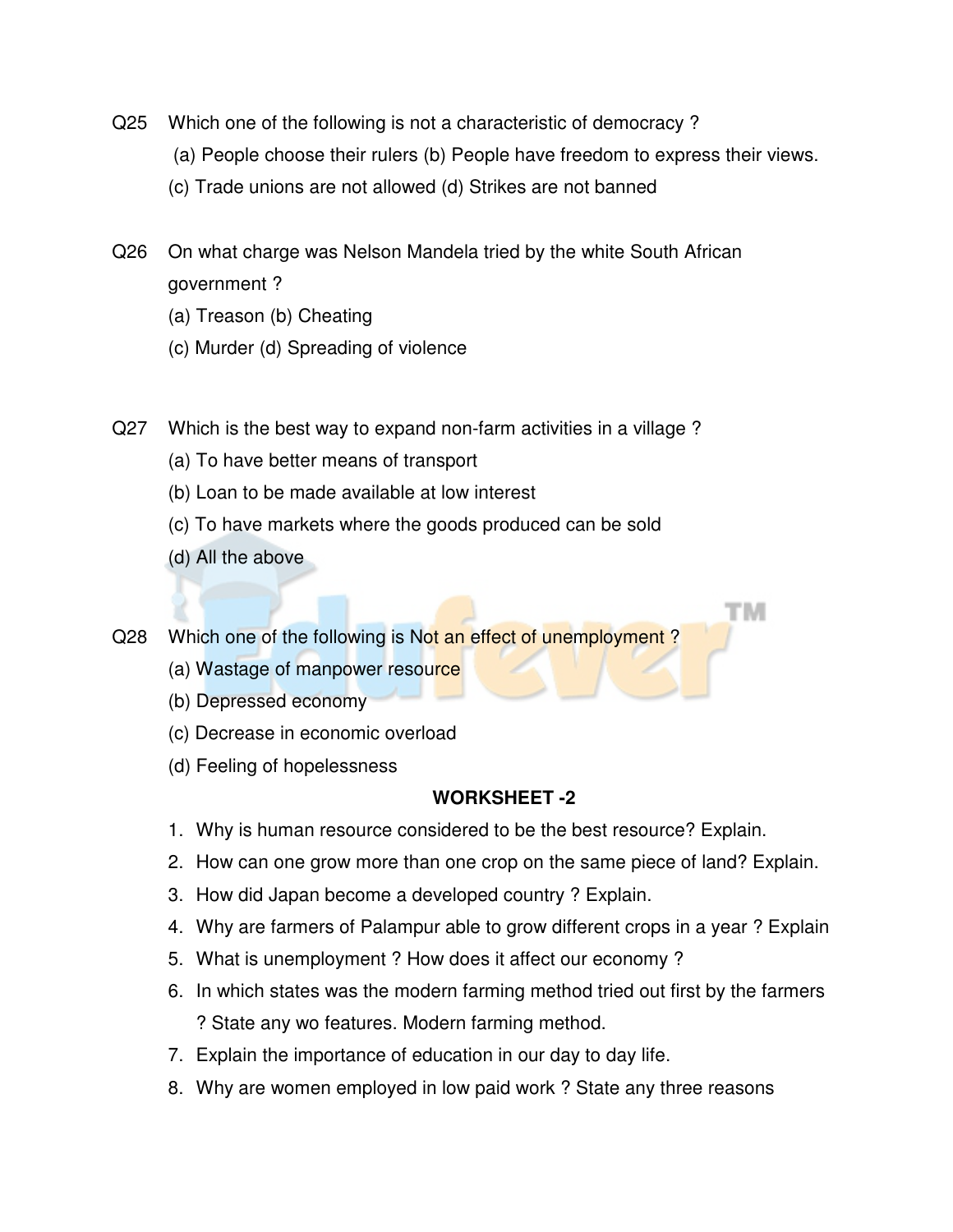- Q25 Which one of the following is not a characteristic of democracy ?
	- (a) People choose their rulers (b) People have freedom to express their views.
	- (c) Trade unions are not allowed (d) Strikes are not banned
- Q26 On what charge was Nelson Mandela tried by the white South African government ?
	- (a) Treason (b) Cheating
	- (c) Murder (d) Spreading of violence
- Q27 Which is the best way to expand non-farm activities in a village ?
	- (a) To have better means of transport
	- (b) Loan to be made available at low interest
	- (c) To have markets where the goods produced can be sold
	- (d) All the above

Q28 Which one of the following is Not an effect of unemployment?

- (a) Wastage of manpower resource
- (b) Depressed economy
- (c) Decrease in economic overload
- (d) Feeling of hopelessness

## **WORKSHEET -2**

TМ

- 1. Why is human resource considered to be the best resource? Explain.
- 2. How can one grow more than one crop on the same piece of land? Explain.
- 3. How did Japan become a developed country ? Explain.
- 4. Why are farmers of Palampur able to grow different crops in a year ? Explain
- 5. What is unemployment ? How does it affect our economy ?
- 6. In which states was the modern farming method tried out first by the farmers ? State any wo features. Modern farming method.
- 7. Explain the importance of education in our day to day life.
- 8. Why are women employed in low paid work ? State any three reasons